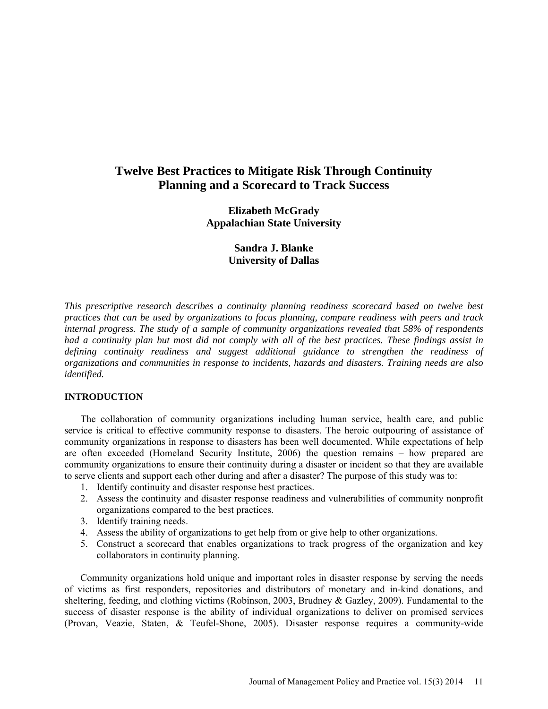# **Twelve Best Practices to Mitigate Risk Through Continuity Planning and a Scorecard to Track Success**

**Elizabeth McGrady Appalachian State University**

> **Sandra J. Blanke University of Dallas**

*This prescriptive research describes a continuity planning readiness scorecard based on twelve best practices that can be used by organizations to focus planning, compare readiness with peers and track internal progress. The study of a sample of community organizations revealed that 58% of respondents had a continuity plan but most did not comply with all of the best practices. These findings assist in defining continuity readiness and suggest additional guidance to strengthen the readiness of organizations and communities in response to incidents, hazards and disasters. Training needs are also identified.* 

## **INTRODUCTION**

The collaboration of community organizations including human service, health care, and public service is critical to effective community response to disasters. The heroic outpouring of assistance of community organizations in response to disasters has been well documented. While expectations of help are often exceeded (Homeland Security Institute, 2006) the question remains – how prepared are community organizations to ensure their continuity during a disaster or incident so that they are available to serve clients and support each other during and after a disaster? The purpose of this study was to:

- 1. Identify continuity and disaster response best practices.
- 2. Assess the continuity and disaster response readiness and vulnerabilities of community nonprofit organizations compared to the best practices.
- 3. Identify training needs.
- 4. Assess the ability of organizations to get help from or give help to other organizations.
- 5. Construct a scorecard that enables organizations to track progress of the organization and key collaborators in continuity planning.

Community organizations hold unique and important roles in disaster response by serving the needs of victims as first responders, repositories and distributors of monetary and in-kind donations, and sheltering, feeding, and clothing victims (Robinson, 2003, Brudney & Gazley, 2009). Fundamental to the success of disaster response is the ability of individual organizations to deliver on promised services (Provan, Veazie, Staten, & Teufel-Shone, 2005). Disaster response requires a community-wide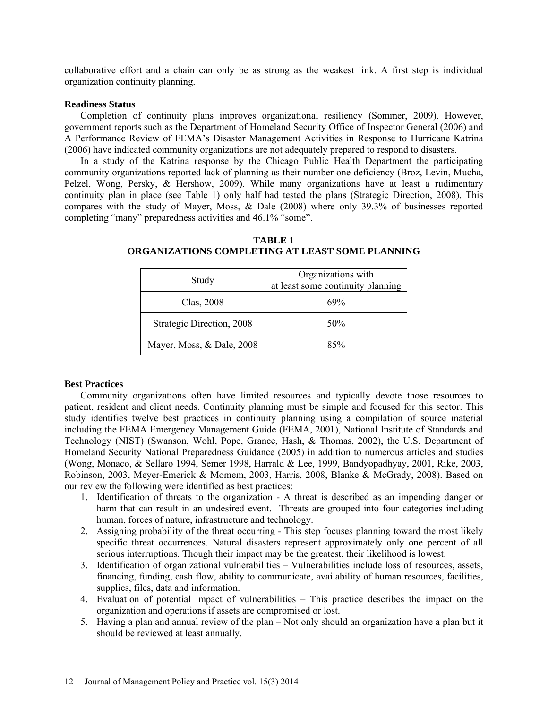collaborative effort and a chain can only be as strong as the weakest link. A first step is individual organization continuity planning.

#### **Readiness Status**

Completion of continuity plans improves organizational resiliency (Sommer, 2009). However, government reports such as the Department of Homeland Security Office of Inspector General (2006) and A Performance Review of FEMA's Disaster Management Activities in Response to Hurricane Katrina (2006) have indicated community organizations are not adequately prepared to respond to disasters.

In a study of the Katrina response by the Chicago Public Health Department the participating community organizations reported lack of planning as their number one deficiency (Broz, Levin, Mucha, Pelzel, Wong, Persky, & Hershow, 2009). While many organizations have at least a rudimentary continuity plan in place (see Table 1) only half had tested the plans (Strategic Direction, 2008). This compares with the study of Mayer, Moss, & Dale (2008) where only 39.3% of businesses reported completing "many" preparedness activities and 46.1% "some".

| Study                     | Organizations with<br>at least some continuity planning |  |
|---------------------------|---------------------------------------------------------|--|
| Clas, 2008                | 69%                                                     |  |
| Strategic Direction, 2008 | 50%                                                     |  |
| Mayer, Moss, & Dale, 2008 | 85%                                                     |  |

**TABLE 1 ORGANIZATIONS COMPLETING AT LEAST SOME PLANNING**

## **Best Practices**

Community organizations often have limited resources and typically devote those resources to patient, resident and client needs. Continuity planning must be simple and focused for this sector. This study identifies twelve best practices in continuity planning using a compilation of source material including the FEMA Emergency Management Guide (FEMA, 2001), National Institute of Standards and Technology (NIST) (Swanson, Wohl, Pope, Grance, Hash, & Thomas, 2002), the U.S. Department of Homeland Security National Preparedness Guidance (2005) in addition to numerous articles and studies (Wong, Monaco, & Sellaro 1994, Semer 1998, Harrald & Lee, 1999, Bandyopadhyay, 2001, Rike, 2003, Robinson, 2003, Meyer-Emerick & Momem, 2003, Harris, 2008, Blanke & McGrady, 2008). Based on our review the following were identified as best practices:

- 1. Identification of threats to the organization A threat is described as an impending danger or harm that can result in an undesired event. Threats are grouped into four categories including human, forces of nature, infrastructure and technology.
- 2. Assigning probability of the threat occurring This step focuses planning toward the most likely specific threat occurrences. Natural disasters represent approximately only one percent of all serious interruptions. Though their impact may be the greatest, their likelihood is lowest.
- 3. Identification of organizational vulnerabilities Vulnerabilities include loss of resources, assets, financing, funding, cash flow, ability to communicate, availability of human resources, facilities, supplies, files, data and information.
- 4. Evaluation of potential impact of vulnerabilities This practice describes the impact on the organization and operations if assets are compromised or lost.
- 5. Having a plan and annual review of the plan Not only should an organization have a plan but it should be reviewed at least annually.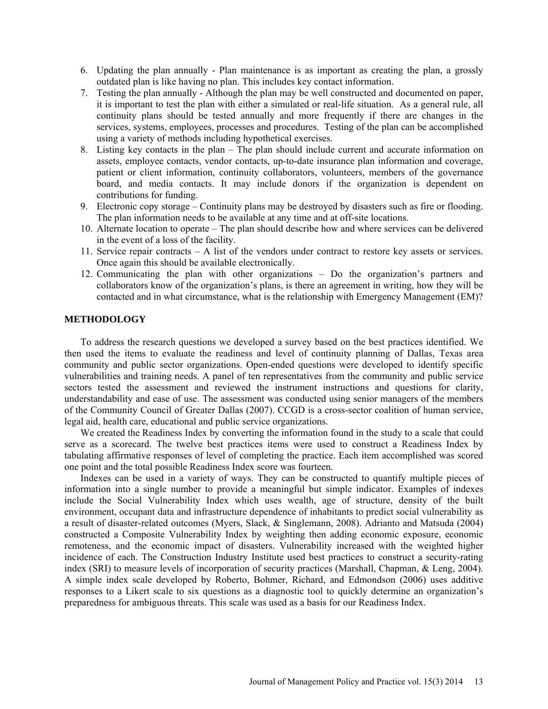- 6. Updating the plan annually Plan maintenance is as important as creating the plan, a grossly outdated plan is like having no plan. This includes key contact information.
- 7. Testing the plan annually Although the plan may be well constructed and documented on paper, it is important to test the plan with either a simulated or real-life situation. As a general rule, all continuity plans should be tested annually and more frequently if there are changes in the services, systems, employees, processes and procedures. Testing of the plan can be accomplished using a variety of methods including hypothetical exercises.
- 8. Listing key contacts in the plan The plan should include current and accurate information on assets, employee contacts, vendor contacts, up-to-date insurance plan information and coverage, patient or client information, continuity collaborators, volunteers, members of the governance board, and media contacts. It may include donors if the organization is dependent on contributions for funding.
- 9. Electronic copy storage Continuity plans may be destroyed by disasters such as fire or flooding. The plan information needs to be available at any time and at off-site locations.
- 10. Alternate location to operate The plan should describe how and where services can be delivered in the event of a loss of the facility.
- 11. Service repair contracts A list of the vendors under contract to restore key assets or services. Once again this should be available electronically.
- 12. Communicating the plan with other organizations Do the organization's partners and collaborators know of the organization's plans, is there an agreement in writing, how they will be contacted and in what circumstance, what is the relationship with Emergency Management (EM)?

### **METHODOLOGY**

To address the research questions we developed a survey based on the best practices identified. We then used the items to evaluate the readiness and level of continuity planning of Dallas, Texas area community and public sector organizations. Open-ended questions were developed to identify specific vulnerabilities and training needs. A panel of ten representatives from the community and public service sectors tested the assessment and reviewed the instrument instructions and questions for clarity, understandability and ease of use. The assessment was conducted using senior managers of the members of the Community Council of Greater Dallas (2007). CCGD is a cross-sector coalition of human service, legal aid, health care, educational and public service organizations.

We created the Readiness Index by converting the information found in the study to a scale that could serve as a scorecard. The twelve best practices items were used to construct a Readiness Index by tabulating affirmative responses of level of completing the practice. Each item accomplished was scored one point and the total possible Readiness Index score was fourteen.

Indexes can be used in a variety of ways. They can be constructed to quantify multiple pieces of information into a single number to provide a meaningful but simple indicator. Examples of indexes include the Social Vulnerability Index which uses wealth, age of structure, density of the built environment, occupant data and infrastructure dependence of inhabitants to predict social vulnerability as a result of disaster-related outcomes (Myers, Slack, & Singlemann, 2008). Adrianto and Matsuda (2004) constructed a Composite Vulnerability Index by weighting then adding economic exposure, economic remoteness, and the economic impact of disasters. Vulnerability increased with the weighted higher incidence of each. The Construction Industry Institute used best practices to construct a security-rating index (SRI) to measure levels of incorporation of security practices (Marshall, Chapman, & Leng, 2004). A simple index scale developed by Roberto, Bohmer, Richard, and Edmondson (2006) uses additive responses to a Likert scale to six questions as a diagnostic tool to quickly determine an organization's preparedness for ambiguous threats. This scale was used as a basis for our Readiness Index.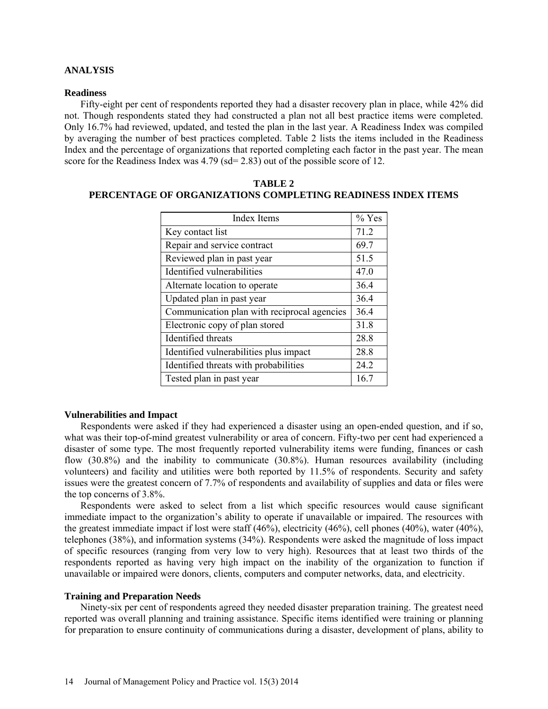#### **ANALYSIS**

#### **Readiness**

Fifty-eight per cent of respondents reported they had a disaster recovery plan in place, while 42% did not. Though respondents stated they had constructed a plan not all best practice items were completed. Only 16.7% had reviewed, updated, and tested the plan in the last year. A Readiness Index was compiled by averaging the number of best practices completed. Table 2 lists the items included in the Readiness Index and the percentage of organizations that reported completing each factor in the past year. The mean score for the Readiness Index was 4.79 (sd= 2.83) out of the possible score of 12.

| <b>Index Items</b>                          | $%$ Yes |
|---------------------------------------------|---------|
| Key contact list                            | 71.2    |
| Repair and service contract                 | 69.7    |
| Reviewed plan in past year                  | 51.5    |
| Identified vulnerabilities                  | 47.0    |
| Alternate location to operate               | 36.4    |
| Updated plan in past year                   | 36.4    |
| Communication plan with reciprocal agencies | 36.4    |
| Electronic copy of plan stored              | 31.8    |
| Identified threats                          | 28.8    |
| Identified vulnerabilities plus impact      | 28.8    |
| Identified threats with probabilities       | 24.2    |
| Tested plan in past year                    | 16.7    |

**TABLE 2 PERCENTAGE OF ORGANIZATIONS COMPLETING READINESS INDEX ITEMS**

#### **Vulnerabilities and Impact**

Respondents were asked if they had experienced a disaster using an open-ended question, and if so, what was their top-of-mind greatest vulnerability or area of concern. Fifty-two per cent had experienced a disaster of some type. The most frequently reported vulnerability items were funding, finances or cash flow (30.8%) and the inability to communicate (30.8%). Human resources availability (including volunteers) and facility and utilities were both reported by 11.5% of respondents. Security and safety issues were the greatest concern of 7.7% of respondents and availability of supplies and data or files were the top concerns of 3.8%.

Respondents were asked to select from a list which specific resources would cause significant immediate impact to the organization's ability to operate if unavailable or impaired. The resources with the greatest immediate impact if lost were staff (46%), electricity (46%), cell phones (40%), water (40%), telephones (38%), and information systems (34%). Respondents were asked the magnitude of loss impact of specific resources (ranging from very low to very high). Resources that at least two thirds of the respondents reported as having very high impact on the inability of the organization to function if unavailable or impaired were donors, clients, computers and computer networks, data, and electricity.

#### **Training and Preparation Needs**

Ninety-six per cent of respondents agreed they needed disaster preparation training. The greatest need reported was overall planning and training assistance. Specific items identified were training or planning for preparation to ensure continuity of communications during a disaster, development of plans, ability to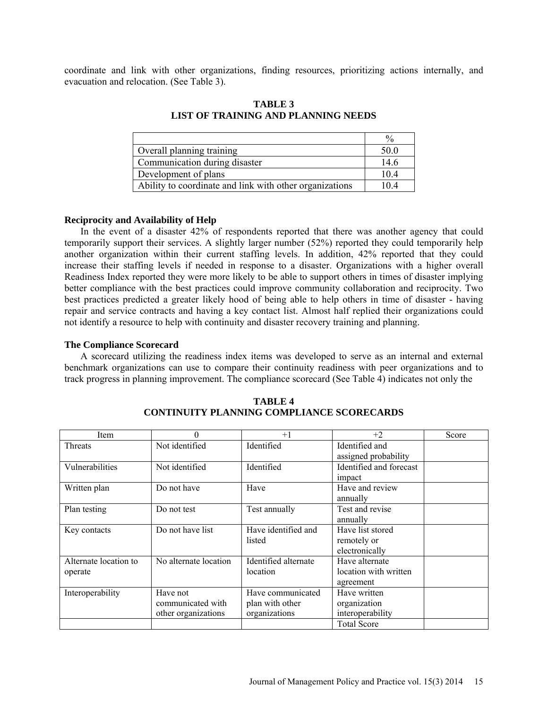coordinate and link with other organizations, finding resources, prioritizing actions internally, and evacuation and relocation. (See Table 3).

|                                                         | $\frac{0}{0}$ |
|---------------------------------------------------------|---------------|
| Overall planning training                               | 50.0          |
| Communication during disaster                           | 14.6          |
| Development of plans                                    | 10.4          |
| Ability to coordinate and link with other organizations | 10.4          |

**TABLE 3 LIST OF TRAINING AND PLANNING NEEDS**

#### **Reciprocity and Availability of Help**

In the event of a disaster 42% of respondents reported that there was another agency that could temporarily support their services. A slightly larger number (52%) reported they could temporarily help another organization within their current staffing levels. In addition, 42% reported that they could increase their staffing levels if needed in response to a disaster. Organizations with a higher overall Readiness Index reported they were more likely to be able to support others in times of disaster implying better compliance with the best practices could improve community collaboration and reciprocity. Two best practices predicted a greater likely hood of being able to help others in time of disaster - having repair and service contracts and having a key contact list. Almost half replied their organizations could not identify a resource to help with continuity and disaster recovery training and planning.

#### **The Compliance Scorecard**

A scorecard utilizing the readiness index items was developed to serve as an internal and external benchmark organizations can use to compare their continuity readiness with peer organizations and to track progress in planning improvement. The compliance scorecard (See Table 4) indicates not only the

| Item                  | 0                     | $+1$                 | $+2$                    | Score |
|-----------------------|-----------------------|----------------------|-------------------------|-------|
| <b>Threats</b>        | Not identified        | Identified           | Identified and          |       |
|                       |                       |                      | assigned probability    |       |
| Vulnerabilities       | Not identified        | Identified           | Identified and forecast |       |
|                       |                       |                      | impact                  |       |
| Written plan          | Do not have           | Have                 | Have and review         |       |
|                       |                       |                      | annually                |       |
| Plan testing          | Do not test           | Test annually        | Test and revise         |       |
|                       |                       |                      | annually                |       |
| Key contacts          | Do not have list      | Have identified and  | Have list stored        |       |
|                       |                       | listed               | remotely or             |       |
|                       |                       |                      | electronically          |       |
| Alternate location to | No alternate location | Identified alternate | Have alternate          |       |
| operate               |                       | location             | location with written   |       |
|                       |                       |                      | agreement               |       |
| Interoperability      | Have not              | Have communicated    | Have written            |       |
|                       | communicated with     | plan with other      | organization            |       |
|                       | other organizations   | organizations        | interoperability        |       |
|                       |                       |                      | <b>Total Score</b>      |       |

**TABLE 4 CONTINUITY PLANNING COMPLIANCE SCORECARDS**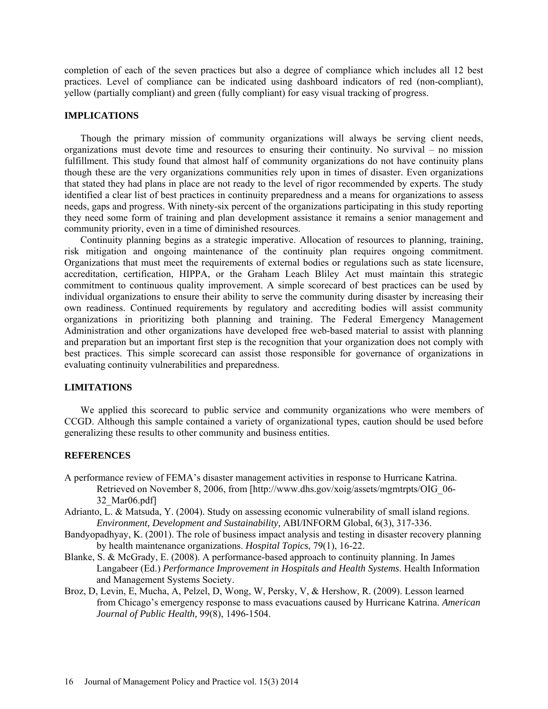completion of each of the seven practices but also a degree of compliance which includes all 12 best practices. Level of compliance can be indicated using dashboard indicators of red (non-compliant), yellow (partially compliant) and green (fully compliant) for easy visual tracking of progress.

#### **IMPLICATIONS**

Though the primary mission of community organizations will always be serving client needs, organizations must devote time and resources to ensuring their continuity. No survival – no mission fulfillment. This study found that almost half of community organizations do not have continuity plans though these are the very organizations communities rely upon in times of disaster. Even organizations that stated they had plans in place are not ready to the level of rigor recommended by experts. The study identified a clear list of best practices in continuity preparedness and a means for organizations to assess needs, gaps and progress. With ninety-six percent of the organizations participating in this study reporting they need some form of training and plan development assistance it remains a senior management and community priority, even in a time of diminished resources.

Continuity planning begins as a strategic imperative. Allocation of resources to planning, training, risk mitigation and ongoing maintenance of the continuity plan requires ongoing commitment. Organizations that must meet the requirements of external bodies or regulations such as state licensure, accreditation, certification, HIPPA, or the Graham Leach Bliley Act must maintain this strategic commitment to continuous quality improvement. A simple scorecard of best practices can be used by individual organizations to ensure their ability to serve the community during disaster by increasing their own readiness. Continued requirements by regulatory and accrediting bodies will assist community organizations in prioritizing both planning and training. The Federal Emergency Management Administration and other organizations have developed free web-based material to assist with planning and preparation but an important first step is the recognition that your organization does not comply with best practices. This simple scorecard can assist those responsible for governance of organizations in evaluating continuity vulnerabilities and preparedness.

#### **LIMITATIONS**

We applied this scorecard to public service and community organizations who were members of CCGD. Although this sample contained a variety of organizational types, caution should be used before generalizing these results to other community and business entities.

#### **REFERENCES**

- A performance review of FEMA's disaster management activities in response to Hurricane Katrina. Retrieved on November 8, 2006, from [\[http://www.dhs.gov/xoig/assets/mgmtrpts/OIG\\_06-](http://www.dhs.gov/xoig/assets/mgmtrpts/OIG_06-32_Mar06.pdf) [32\\_Mar06.pdf\]](http://www.dhs.gov/xoig/assets/mgmtrpts/OIG_06-32_Mar06.pdf)
- Adrianto, L. & Matsuda, Y. (2004). Study on assessing economic vulnerability of small island regions. *Environment, Development and Sustainability,* ABI/INFORM Global, 6(3), 317-336.
- Bandyopadhyay, K. (2001). The role of business impact analysis and testing in disaster recovery planning by health maintenance organizations. *Hospital Topics*, 79(1), 16-22.
- Blanke, S. & McGrady, E. (2008). A performance-based approach to continuity planning. In James Langabeer (Ed.) *Performance Improvement in Hospitals and Health Systems*. Health Information and Management Systems Society.
- Broz, D, Levin, E, Mucha, A, Pelzel, D, Wong, W, Persky, V, & Hershow, R. (2009). Lesson learned from Chicago's emergency response to mass evacuations caused by Hurricane Katrina. *American Journal of Public Health,* 99(8), 1496-1504.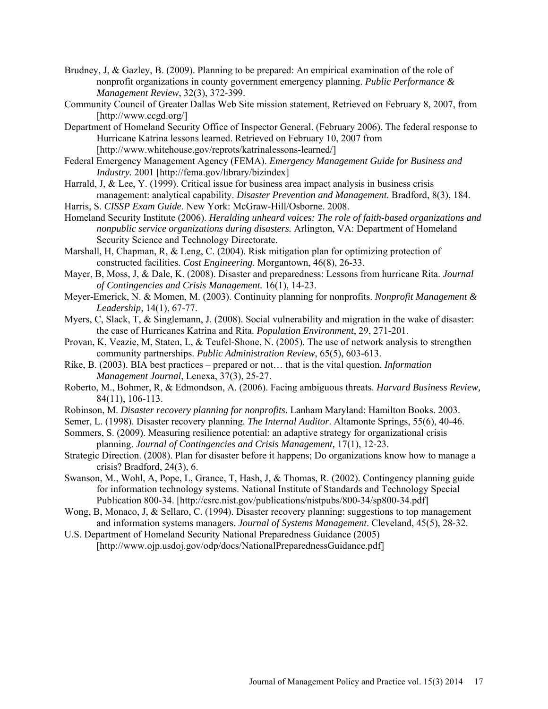- Brudney, J, & Gazley, B. (2009). Planning to be prepared: An empirical examination of the role of nonprofit organizations in county government emergency planning. *Public Performance & Management Review*, 32(3), 372-399.
- Community Council of Greater Dallas Web Site mission statement, Retrieved on February 8, 2007, from [\[http://www.ccgd.org/\]](http://www.ccgd.org/)
- Department of Homeland Security Office of Inspector General. (February 2006). The federal response to Hurricane Katrina lessons learned. Retrieved on February 10, 2007 from [http://www.whitehouse.gov/reprots/katrinalessons-learned/]
- Federal Emergency Management Agency (FEMA). *Emergency Management Guide for Business and Industry.* 2001 [http://fema.gov/library/bizindex]
- Harrald, J, & Lee, Y. (1999). Critical issue for business area impact analysis in business crisis management: analytical capability. *Disaster Prevention and Management*. Bradford, 8(3), 184.
- Harris, S. *CISSP Exam Guide*. New York: McGraw-Hill/Osborne. 2008.
- Homeland Security Institute (2006). *Heralding unheard voices: The role of faith-based organizations and nonpublic service organizations during disasters.* Arlington, VA: Department of Homeland Security Science and Technology Directorate.
- Marshall, H, Chapman, R, & Leng, C. (2004). Risk mitigation plan for optimizing protection of constructed facilities. *Cost Engineering.* Morgantown, 46(8), 26-33.
- Mayer, B, Moss, J, & Dale, K. (2008). Disaster and preparedness: Lessons from hurricane Rita. *Journal of Contingencies and Crisis Management.* 16(1), 14-23.
- Meyer-Emerick, N. & Momen, M. (2003). Continuity planning for nonprofits. *Nonprofit Management & Leadership,* 14(1), 67-77.
- Myers, C, Slack, T, & Singlemann, J. (2008). Social vulnerability and migration in the wake of disaster: the case of Hurricanes Katrina and Rita. *Population Environment*, 29, 271-201.
- Provan, K, Veazie, M, Staten, L, & Teufel-Shone, N. (2005). The use of network analysis to strengthen community partnerships. *Public Administration Review*, 65(5), 603-613.
- Rike, B. (2003). BIA best practices prepared or not… that is the vital question. *Information Management Journal*, Lenexa, 37(3), 25-27.
- Roberto, M., Bohmer, R, & Edmondson, A. (2006). Facing ambiguous threats. *Harvard Business Review,*  84(11), 106-113.
- Robinson, M. *Disaster recovery planning for nonprofits*. Lanham Maryland: Hamilton Books. 2003.
- Semer, L. (1998). Disaster recovery planning. *The Internal Auditor*. Altamonte Springs, 55(6), 40-46.
- Sommers, S. (2009). Measuring resilience potential: an adaptive strategy for organizational crisis planning. *Journal of Contingencies and Crisis Management,* 17(1), 12-23.
- Strategic Direction. (2008). Plan for disaster before it happens; Do organizations know how to manage a crisis? Bradford, 24(3), 6.
- Swanson, M., Wohl, A, Pope, L, Grance, T, Hash, J, & Thomas, R. (2002). Contingency planning guide for information technology systems. National Institute of Standards and Technology Special Publication 800-34. [\[http://csrc.nist.gov/publications/nistpubs/800-34/sp800-34.pdf\]](http://csrc.nist.gov/publications/nistpubs/800-34/sp800-34.pdf)
- Wong, B, Monaco, J, & Sellaro, C. (1994). Disaster recovery planning: suggestions to top management and information systems managers. *Journal of Systems Management*. Cleveland, 45(5), 28-32.
- U.S. Department of Homeland Security National Preparedness Guidance (2005) [http://www.ojp.usdoj.gov/odp/docs/NationalPreparednessGuidance.pdf]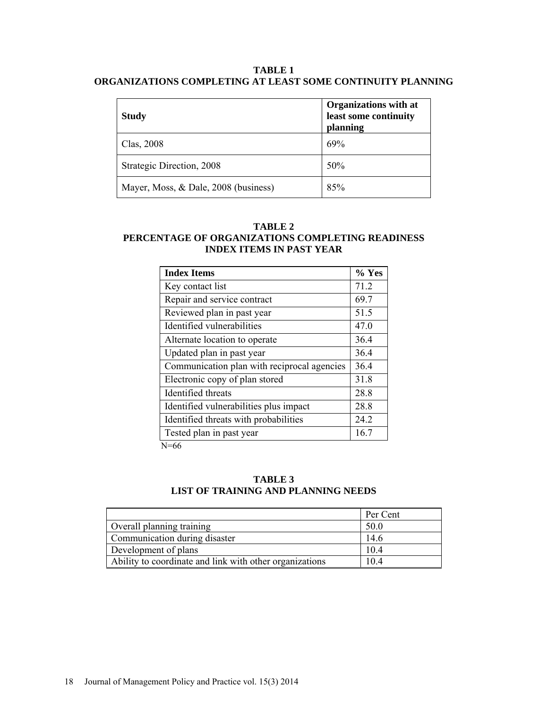## **TABLE 1 ORGANIZATIONS COMPLETING AT LEAST SOME CONTINUITY PLANNING**

| <b>Study</b>                         | <b>Organizations with at</b><br>least some continuity<br>planning |
|--------------------------------------|-------------------------------------------------------------------|
| Clas, 2008                           | 69%                                                               |
| Strategic Direction, 2008            | 50%                                                               |
| Mayer, Moss, & Dale, 2008 (business) | 85%                                                               |

## **TABLE 2 PERCENTAGE OF ORGANIZATIONS COMPLETING READINESS INDEX ITEMS IN PAST YEAR**

| <b>Index Items</b>                          | $%$ Yes |
|---------------------------------------------|---------|
| Key contact list                            | 71.2    |
| Repair and service contract                 | 69.7    |
| Reviewed plan in past year                  | 51.5    |
| Identified vulnerabilities                  | 47.0    |
| Alternate location to operate               | 36.4    |
| Updated plan in past year                   | 36.4    |
| Communication plan with reciprocal agencies | 36.4    |
| Electronic copy of plan stored              | 31.8    |
| Identified threats                          | 28.8    |
| Identified vulnerabilities plus impact      | 28.8    |
| Identified threats with probabilities       | 24.2    |
| Tested plan in past year<br>$\mathbf{v}$    | 16.7    |

N=66

# **TABLE 3 LIST OF TRAINING AND PLANNING NEEDS**

|                                                         | Per Cent |
|---------------------------------------------------------|----------|
| Overall planning training                               | 50.0     |
| Communication during disaster                           | 14.6     |
| Development of plans                                    | 10.4     |
| Ability to coordinate and link with other organizations | 10.4     |